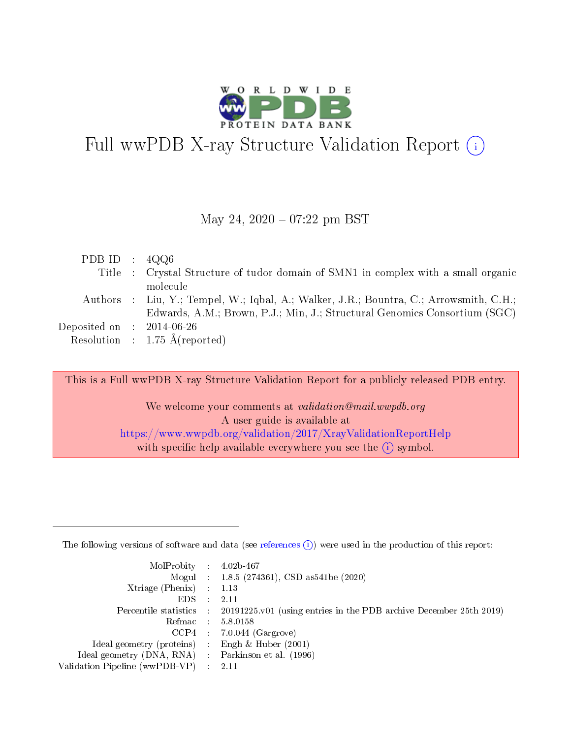

# Full wwPDB X-ray Structure Validation Report  $(i)$

#### May 24,  $2020 - 07:22$  pm BST

| PDB ID : $4QQ6$                                           |                                                                                        |
|-----------------------------------------------------------|----------------------------------------------------------------------------------------|
|                                                           | Title : Crystal Structure of tudor domain of SMN1 in complex with a small organic      |
|                                                           | molecule                                                                               |
|                                                           | Authors : Liu, Y.; Tempel, W.; Iqbal, A.; Walker, J.R.; Bountra, C.; Arrowsmith, C.H.; |
|                                                           | Edwards, A.M.; Brown, P.J.; Min, J.; Structural Genomics Consortium (SGC)              |
| $\rm Deposited\; on \;\; : \;\; 2014\text{-}06\text{-}26$ |                                                                                        |
|                                                           | Resolution : $1.75 \text{ Å}$ (reported)                                               |

This is a Full wwPDB X-ray Structure Validation Report for a publicly released PDB entry.

We welcome your comments at validation@mail.wwpdb.org A user guide is available at <https://www.wwpdb.org/validation/2017/XrayValidationReportHelp> with specific help available everywhere you see the  $(i)$  symbol.

The following versions of software and data (see [references](https://www.wwpdb.org/validation/2017/XrayValidationReportHelp#references)  $(1)$ ) were used in the production of this report:

| $MolProbability$ : 4.02b-467                        |               |                                                                                            |
|-----------------------------------------------------|---------------|--------------------------------------------------------------------------------------------|
|                                                     |               | Mogul : $1.8.5$ (274361), CSD as 541be (2020)                                              |
| Xtriage (Phenix) $: 1.13$                           |               |                                                                                            |
| EDS.                                                | $\mathcal{L}$ | 2.11                                                                                       |
|                                                     |               | Percentile statistics : 20191225.v01 (using entries in the PDB archive December 25th 2019) |
| Refmac 5.8.0158                                     |               |                                                                                            |
|                                                     |               | $CCP4$ : 7.0.044 (Gargrove)                                                                |
| Ideal geometry (proteins)                           |               | Engh $\&$ Huber (2001)                                                                     |
| Ideal geometry (DNA, RNA) : Parkinson et al. (1996) |               |                                                                                            |
| Validation Pipeline (wwPDB-VP) : 2.11               |               |                                                                                            |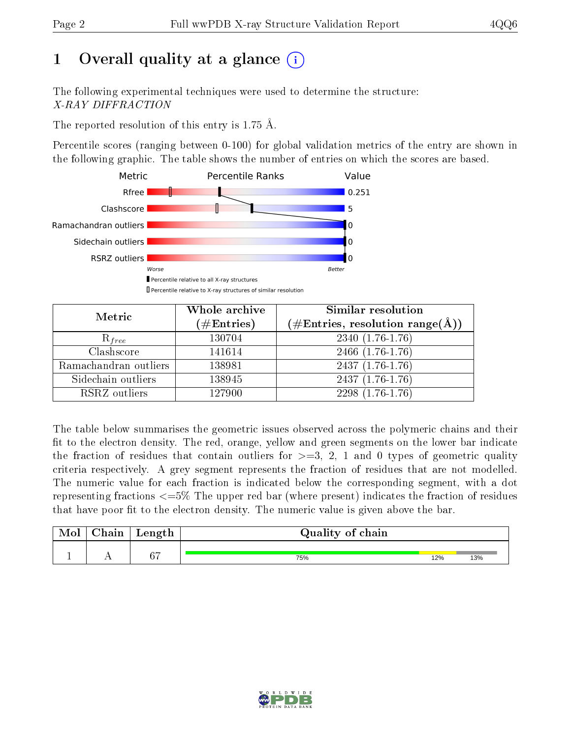# 1 [O](https://www.wwpdb.org/validation/2017/XrayValidationReportHelp#overall_quality)verall quality at a glance  $(i)$

The following experimental techniques were used to determine the structure: X-RAY DIFFRACTION

The reported resolution of this entry is 1.75 Å.

Percentile scores (ranging between 0-100) for global validation metrics of the entry are shown in the following graphic. The table shows the number of entries on which the scores are based.



| Metric                | Whole archive<br>$(\#\text{Entries})$ | Similar resolution<br>(#Entries, resolution range(Å)) |  |  |
|-----------------------|---------------------------------------|-------------------------------------------------------|--|--|
| $R_{free}$            | 130704                                | $2340(1.76-1.76)$                                     |  |  |
| Clashscore            | 141614                                | 2466 (1.76-1.76)                                      |  |  |
| Ramachandran outliers | 138981                                | $2437(1.76-1.76)$                                     |  |  |
| Sidechain outliers    | 138945                                | $2437(1.76-1.76)$                                     |  |  |
| RSRZ outliers         | 127900                                | 2298 (1.76-1.76)                                      |  |  |

The table below summarises the geometric issues observed across the polymeric chains and their fit to the electron density. The red, orange, yellow and green segments on the lower bar indicate the fraction of residues that contain outliers for  $>=3, 2, 1$  and 0 types of geometric quality criteria respectively. A grey segment represents the fraction of residues that are not modelled. The numeric value for each fraction is indicated below the corresponding segment, with a dot representing fractions <=5% The upper red bar (where present) indicates the fraction of residues that have poor fit to the electron density. The numeric value is given above the bar.

| Mol           | nin<br>ا الملكيد | Length | Quality of chain |     |     |  |  |  |  |
|---------------|------------------|--------|------------------|-----|-----|--|--|--|--|
| <u>. на п</u> | . .              | 67     | 75%              | 12% | 13% |  |  |  |  |

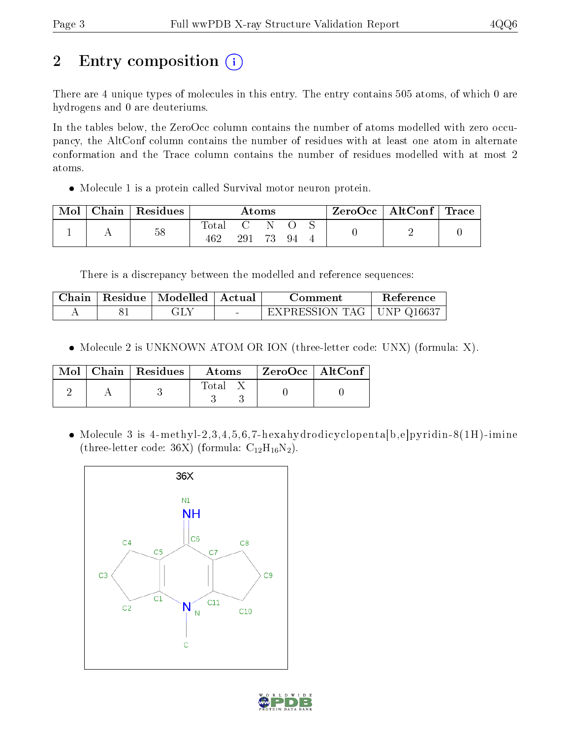# 2 Entry composition (i)

There are 4 unique types of molecules in this entry. The entry contains 505 atoms, of which 0 are hydrogens and 0 are deuteriums.

In the tables below, the ZeroOcc column contains the number of atoms modelled with zero occupancy, the AltConf column contains the number of residues with at least one atom in alternate conformation and the Trace column contains the number of residues modelled with at most 2 atoms.

Molecule 1 is a protein called Survival motor neuron protein.

| Mol | Chain   Residues | $\rm{Atoms}$ |     |  |     |  | $\text{ZeroOcc}$   AltConf   Trace |  |
|-----|------------------|--------------|-----|--|-----|--|------------------------------------|--|
|     | 58               | Total        | 291 |  | -94 |  | -                                  |  |

There is a discrepancy between the modelled and reference sequences:

|  | Chain   Residue   Modelled   Actual | Comment                     | Reference |
|--|-------------------------------------|-----------------------------|-----------|
|  |                                     | EXPRESSION TAG   UNP Q16637 |           |

• Molecule 2 is UNKNOWN ATOM OR ION (three-letter code: UNX) (formula: X).

|  | $\text{Mol}$   Chain   Residues | Atoms | $\mid$ ZeroOcc $\mid$ AltConf |  |
|--|---------------------------------|-------|-------------------------------|--|
|  |                                 | Total |                               |  |

 Molecule 3 is 4-methyl-2,3,4,5,6,7-hexahydrodicyclopenta[b,e]pyridin-8(1H)-imine (three-letter code: 36X) (formula:  $\rm C_{12}H_{16}N_2$ ).



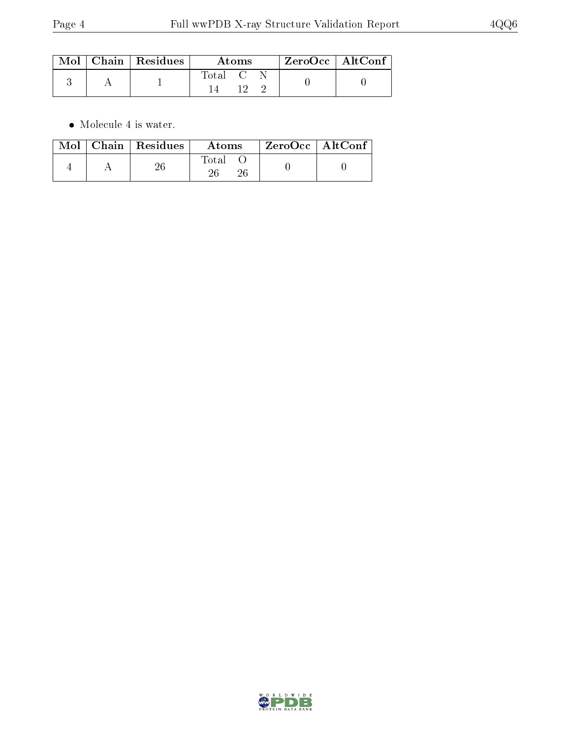|  | $\text{Mol}$   Chain   Residues |                                   | Atoms | ZeroOcc   AltConf |  |
|--|---------------------------------|-----------------------------------|-------|-------------------|--|
|  |                                 | $\mathrm{Total} \quad \mathrm{C}$ |       |                   |  |

 $\bullet\,$  Molecule 4 is water.

|  | $Mol$   Chain   Residues | Atoms        | $ZeroOcc \   \ AltConf \$ |  |
|--|--------------------------|--------------|---------------------------|--|
|  |                          | <b>Total</b> |                           |  |

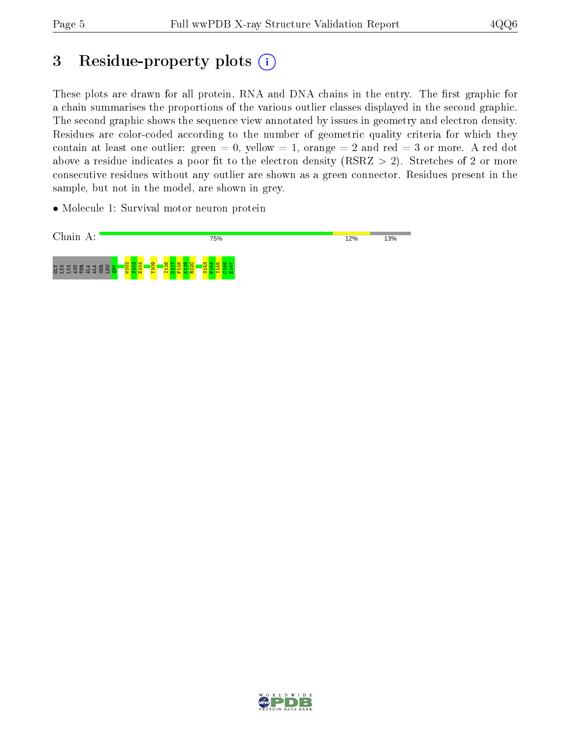# 3 Residue-property plots  $(i)$

These plots are drawn for all protein, RNA and DNA chains in the entry. The first graphic for a chain summarises the proportions of the various outlier classes displayed in the second graphic. The second graphic shows the sequence view annotated by issues in geometry and electron density. Residues are color-coded according to the number of geometric quality criteria for which they contain at least one outlier: green  $= 0$ , yellow  $= 1$ , orange  $= 2$  and red  $= 3$  or more. A red dot above a residue indicates a poor fit to the electron density (RSRZ  $> 2$ ). Stretches of 2 or more consecutive residues without any outlier are shown as a green connector. Residues present in the sample, but not in the model, are shown in grey.

• Molecule 1: Survival motor neuron protein



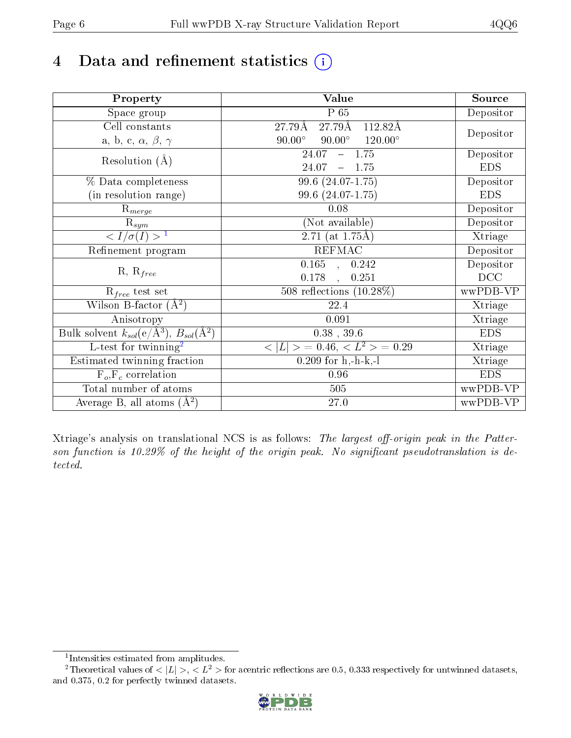# 4 Data and refinement statistics  $(i)$

| Property                                                             | Value                                                    | Source     |
|----------------------------------------------------------------------|----------------------------------------------------------|------------|
| $\overline{\text{Space}}$ group                                      | P 65                                                     | Depositor  |
| Cell constants                                                       | $27.79\text{\AA}$<br>27.79Å<br>112.82Å                   |            |
| a, b, c, $\alpha$ , $\beta$ , $\gamma$                               | $90.00^\circ$<br>$90.00^\circ$<br>$120.00^\circ$         | Depositor  |
| Resolution $(A)$                                                     | $-1.75$<br>24.07                                         | Depositor  |
|                                                                      | 24.07<br>$-1.75$                                         | <b>EDS</b> |
| % Data completeness                                                  | 99.6 (24.07-1.75)                                        | Depositor  |
| (in resolution range)                                                | 99.6 (24.07-1.75)                                        | <b>EDS</b> |
| $R_{merge}$                                                          | 0.08                                                     | Depositor  |
| $\mathrm{R}_{sym}$                                                   | (Not available)                                          | Depositor  |
| $\langle I/\sigma(I) \rangle$ <sup>1</sup>                           | 2.71 (at $1.75\text{\AA}$ )                              | Xtriage    |
| Refinement program                                                   | <b>REFMAC</b>                                            | Depositor  |
|                                                                      | $\overline{0.165}$ ,<br>0.242                            | Depositor  |
| $R, R_{free}$                                                        | 0.178<br>0.251<br>$\ddot{\phantom{1}}$                   | DCC        |
| $\mathcal{R}_{free}$ test set                                        | 508 reflections $(10.28\%)$                              | wwPDB-VP   |
| Wilson B-factor $(A^2)$                                              | 22.4                                                     | Xtriage    |
| Anisotropy                                                           | 0.091                                                    | Xtriage    |
| Bulk solvent $k_{sol}(e/\mathring{A}^3)$ , $B_{sol}(\mathring{A}^2)$ | $0.38$ , 39.6                                            | <b>EDS</b> |
| L-test for twinning <sup>2</sup>                                     | $\langle  L  \rangle = 0.46, \langle L^2 \rangle = 0.29$ | Xtriage    |
| Estimated twinning fraction                                          | $0.209$ for h,-h-k,-l                                    | Xtriage    |
| $F_o, F_c$ correlation                                               | 0.96                                                     | <b>EDS</b> |
| Total number of atoms                                                | 505                                                      | wwPDB-VP   |
| Average B, all atoms $(A^2)$                                         | 27.0                                                     | $wwPDB-VP$ |

Xtriage's analysis on translational NCS is as follows: The largest off-origin peak in the Patterson function is  $10.29\%$  of the height of the origin peak. No significant pseudotranslation is detected.

<sup>&</sup>lt;sup>2</sup>Theoretical values of  $\langle |L| \rangle$ ,  $\langle L^2 \rangle$  for acentric reflections are 0.5, 0.333 respectively for untwinned datasets, and 0.375, 0.2 for perfectly twinned datasets.



<span id="page-5-1"></span><span id="page-5-0"></span><sup>1</sup> Intensities estimated from amplitudes.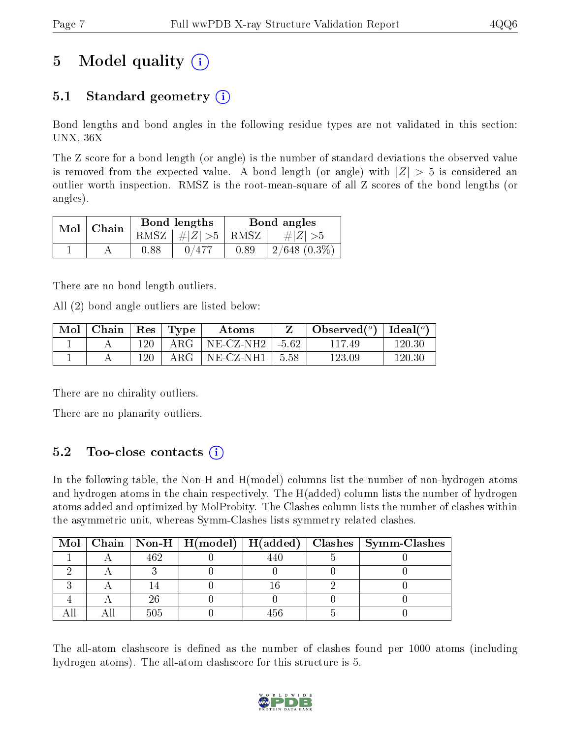# 5 Model quality  $(i)$

## 5.1 Standard geometry  $(i)$

Bond lengths and bond angles in the following residue types are not validated in this section: UNX, 36X

The Z score for a bond length (or angle) is the number of standard deviations the observed value is removed from the expected value. A bond length (or angle) with  $|Z| > 5$  is considered an outlier worth inspection. RMSZ is the root-mean-square of all Z scores of the bond lengths (or angles).

| Mol | $\mid$ Chain |      | Bond lengths                     | Bond angles |                   |  |
|-----|--------------|------|----------------------------------|-------------|-------------------|--|
|     |              |      | RMSZ $\mid \#  Z  > 5 \mid$ RMSZ |             | # $ Z  > 5$       |  |
|     |              | 0.88 | 0/477                            | 0.89        | $2/648$ $(0.3\%)$ |  |

There are no bond length outliers.

All (2) bond angle outliers are listed below:

| Mol | Chain | $\vert$ Res $\vert$ | $\vert$ Type  | Atoms        |         | Observed $(°)$ | Ideal $(^o)$ |
|-----|-------|---------------------|---------------|--------------|---------|----------------|--------------|
|     |       | 120                 | ${\rm ARG}$ . | $NE- CZ-NH2$ | $-5.62$ | 117.49         | 120.30       |
|     |       | 120                 | ${\rm ARG}$   | NE-CZ-NH1    | 5.58    | 123.09         | $120.30\,$   |

There are no chirality outliers.

There are no planarity outliers.

### 5.2 Too-close contacts  $(i)$

In the following table, the Non-H and H(model) columns list the number of non-hydrogen atoms and hydrogen atoms in the chain respectively. The H(added) column lists the number of hydrogen atoms added and optimized by MolProbity. The Clashes column lists the number of clashes within the asymmetric unit, whereas Symm-Clashes lists symmetry related clashes.

|  |  |  | Mol   Chain   Non-H   $H(model)$   $H(added)$   Clashes   Symm-Clashes |
|--|--|--|------------------------------------------------------------------------|
|  |  |  |                                                                        |
|  |  |  |                                                                        |
|  |  |  |                                                                        |
|  |  |  |                                                                        |
|  |  |  |                                                                        |

The all-atom clashscore is defined as the number of clashes found per 1000 atoms (including hydrogen atoms). The all-atom clashscore for this structure is 5.

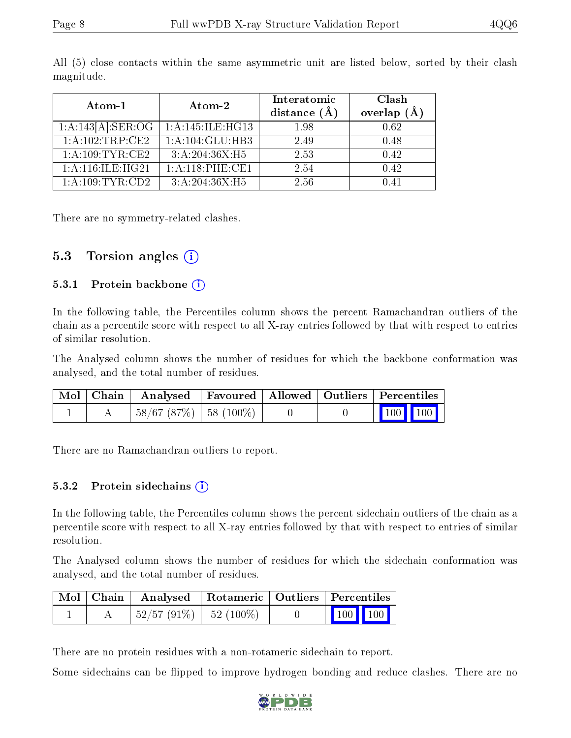| Atom-1                     | Atom-2           | Interatomic<br>distance $(A)$ | Clash<br>overlap $(A)$ |
|----------------------------|------------------|-------------------------------|------------------------|
| $1:A:143[A]:\text{SER}:OG$ | 1:A:145:ILE:HG13 | 1.98                          | 0.62                   |
| 1:A:102:TRP:CE2            | 1:A:104:GLU:HB3  | 2.49                          | 0.48                   |
| 1: A:109:TYR:CE2           | 3:A:204:36X:H5   | 2.53                          | 0.42                   |
| 1:A:116:IE:HG21            | 1:A:118:PHE:CE1  | 2.54                          | 0.42                   |
| 1:A:109:TYR:CD2            | 3: A:204:36X:H5  | 2.56                          | 0.41                   |

All (5) close contacts within the same asymmetric unit are listed below, sorted by their clash magnitude.

There are no symmetry-related clashes.

### 5.3 Torsion angles (i)

#### 5.3.1 Protein backbone  $(i)$

In the following table, the Percentiles column shows the percent Ramachandran outliers of the chain as a percentile score with respect to all X-ray entries followed by that with respect to entries of similar resolution.

The Analysed column shows the number of residues for which the backbone conformation was analysed, and the total number of residues.

| Mol   Chain | $\blacksquare$ Analysed $\blacksquare$ | Favoured   Allowed   Outliers   Percentiles |  |                                                              |  |
|-------------|----------------------------------------|---------------------------------------------|--|--------------------------------------------------------------|--|
|             | $-58/67(87%)$   58 (100%)              |                                             |  | $\begin{array}{ c c c c c }\n\hline\n100 & 100\n\end{array}$ |  |

There are no Ramachandran outliers to report.

#### $5.3.2$  Protein sidechains  $(i)$

In the following table, the Percentiles column shows the percent sidechain outliers of the chain as a percentile score with respect to all X-ray entries followed by that with respect to entries of similar resolution.

The Analysed column shows the number of residues for which the sidechain conformation was analysed, and the total number of residues.

|  | Mol   Chain   Analysed   Rotameric   Outliers   Percentiles |  |                                                                                                 |
|--|-------------------------------------------------------------|--|-------------------------------------------------------------------------------------------------|
|  | $\mid 52/57 \; (91\%) \mid 52 \; (100\%)$                   |  | $\begin{array}{ c c c }\n\hline\n\end{array}$ 100 $\begin{array}{ c c c }\n\hline\n\end{array}$ |

There are no protein residues with a non-rotameric sidechain to report.

Some sidechains can be flipped to improve hydrogen bonding and reduce clashes. There are no

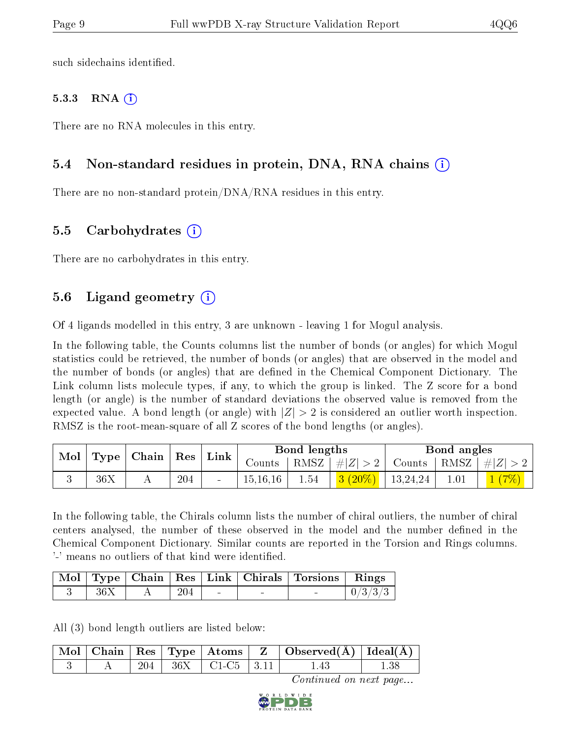such sidechains identified.

#### 5.3.3 RNA  $(i)$

There are no RNA molecules in this entry.

### 5.4 Non-standard residues in protein, DNA, RNA chains (i)

There are no non-standard protein/DNA/RNA residues in this entry.

### 5.5 Carbohydrates (i)

There are no carbohydrates in this entry.

### 5.6 Ligand geometry (i)

Of 4 ligands modelled in this entry, 3 are unknown - leaving 1 for Mogul analysis.

In the following table, the Counts columns list the number of bonds (or angles) for which Mogul statistics could be retrieved, the number of bonds (or angles) that are observed in the model and the number of bonds (or angles) that are defined in the Chemical Component Dictionary. The Link column lists molecule types, if any, to which the group is linked. The Z score for a bond length (or angle) is the number of standard deviations the observed value is removed from the expected value. A bond length (or angle) with  $|Z| > 2$  is considered an outlier worth inspection. RMSZ is the root-mean-square of all Z scores of the bond lengths (or angles).

|  |     | Mol   Type   Chain   Res |     | $\perp$ Link | Bond lengths |      |                                                                                           | Bond angles |  |                                  |
|--|-----|--------------------------|-----|--------------|--------------|------|-------------------------------------------------------------------------------------------|-------------|--|----------------------------------|
|  |     |                          |     |              | Counts       |      | RMSZ   $\# Z  > 2$                                                                        |             |  | Counts   RMSZ $\vert \#  Z  > 2$ |
|  | 36X |                          | 204 |              | 15, 16, 16   | 1.54 | $\begin{array}{ c c c c c c } \hline \textbf{3} & (20\%) & 13,24,24 \\\hline \end{array}$ |             |  | 1(7%)                            |

In the following table, the Chirals column lists the number of chiral outliers, the number of chiral centers analysed, the number of these observed in the model and the number defined in the Chemical Component Dictionary. Similar counts are reported in the Torsion and Rings columns. '-' means no outliers of that kind were identified.

|     |     |        | Mol   Type   Chain   Res   Link   Chirals   Torsions   Rings |         |
|-----|-----|--------|--------------------------------------------------------------|---------|
| 36X | 204 | $\sim$ |                                                              | 0/3/3/3 |

All (3) bond length outliers are listed below:

|  |     |                                                | $\mid$ Mol $\mid$ Chain $\mid$ Res $\mid$ Type $\mid$ Atoms $\mid$ Z $\mid$ Observed(Å) $\mid$ Ideal(Å) $\mid$ |  |
|--|-----|------------------------------------------------|----------------------------------------------------------------------------------------------------------------|--|
|  | 204 | $\frac{1}{2}$ 36X $\pm$ C1-C5 $\pm$ 3.11 $\pm$ |                                                                                                                |  |

Continued on next page...

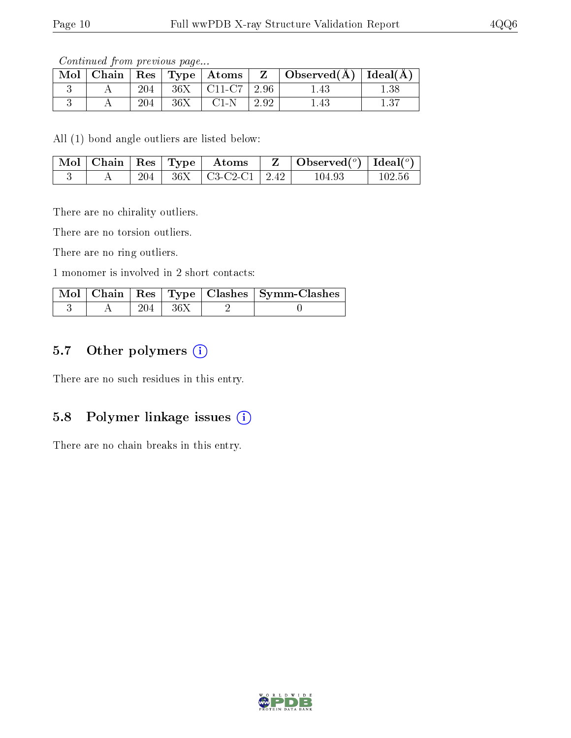Continued from previous page...

| Mol |     |     | $\mid$ Chain $\mid$ Res $\mid$ Type $\mid$ Atoms $\mid$ |      | Observed( $\AA$ )   Ideal( $\AA$ ) |      |
|-----|-----|-----|---------------------------------------------------------|------|------------------------------------|------|
|     | 204 |     | $36X$   C11-C7                                          | 2.96 | 1.43                               | 1.38 |
|     | 204 | 36X | $C1-N$                                                  | 2.92 | 1.43                               |      |

All (1) bond angle outliers are listed below:

| $\vert$ Mol $\vert$ Chain $\vert$ Res $\vert$ Type $\vert$ |     | $\boldsymbol{\mathrm{Atoms}}$ | Observed( $^o$ ) [Ideal( $^o$ )] |        |  |
|------------------------------------------------------------|-----|-------------------------------|----------------------------------|--------|--|
|                                                            | 204 | $36X$   C3-C2-C1   2.42       | 104.93                           | 102.56 |  |

There are no chirality outliers.

There are no torsion outliers.

There are no ring outliers.

1 monomer is involved in 2 short contacts:

|  |             | Mol   Chain   Res   Type   Clashes   Symm-Clashes |
|--|-------------|---------------------------------------------------|
|  | $204$   36X |                                                   |

### 5.7 [O](https://www.wwpdb.org/validation/2017/XrayValidationReportHelp#nonstandard_residues_and_ligands)ther polymers (i)

There are no such residues in this entry.

### 5.8 Polymer linkage issues  $(i)$

There are no chain breaks in this entry.